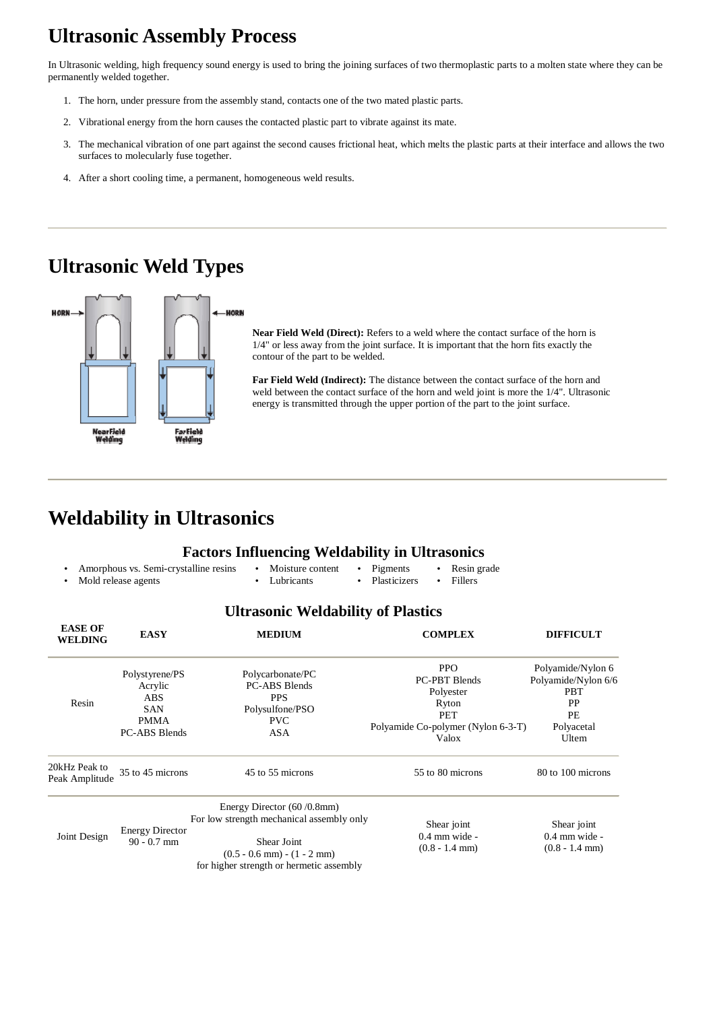# **Ultrasonic Assembly Process**

In Ultrasonic welding, high frequency sound energy is used to bring the joining surfaces of two thermoplastic parts to a molten state where they can be permanently welded together.

- 1. The horn, under pressure from the assembly stand, contacts one of the two mated plastic parts.
- 2. Vibrational energy from the horn causes the contacted plastic part to vibrate against its mate.
- 3. The mechanical vibration of one part against the second causes frictional heat, which melts the plastic parts at their interface and allows the two surfaces to molecularly fuse together.
- 4. After a short cooling time, a permanent, homogeneous weld results.

## **Ultrasonic Weld Types**



**Near Field Weld (Direct):** Refers to a weld where the contact surface of the horn is 1/4" or less away from the joint surface. It is important that the horn fits exactly the contour of the part to be welded.

20kHz Peak to Peak Amplitude 35 to 45 microns 45 to 55 microns 55 to 80 microns 80 to 100 microns 80 to 100 microns

90 - 0.7 mm Energy Director (60 /0.8mm) For low strength mechanical assembly only Shear Joint  $(0.5 - 0.6$  mm $) - (1 - 2$  mm $)$ 

**Far Field Weld (Indirect):** The distance between the contact surface of the horn and weld between the contact surface of the horn and weld joint is more the 1/4". Ultrasonic energy is transmitted through the upper portion of the part to the joint surface.

## **Weldability in Ultrasonics**

#### **Factors Influencing Weldability in Ultrasonics**

- Amorphous vs. Semi-crystalline resins • Mold release agents
	- Moisture content • Lubricants
- Pigments Resin grade
- Plasticizers • Fillers

#### **Ultrasonic Weldability of Plastics**

| <b>EASE OF</b><br><b>WELDING</b> | <b>EASY</b>                                                                                  | <b>MEDIUM</b>                                                                                  | <b>COMPLEX</b>                                                                                                        | <b>DIFFICULT</b>                                                                          |
|----------------------------------|----------------------------------------------------------------------------------------------|------------------------------------------------------------------------------------------------|-----------------------------------------------------------------------------------------------------------------------|-------------------------------------------------------------------------------------------|
| Resin                            | Polystyrene/PS<br>Acrylic<br><b>ABS</b><br><b>SAN</b><br><b>PMMA</b><br><b>PC-ABS Blends</b> | Polycarbonate/PC<br><b>PC-ABS Blends</b><br>PPS<br>Polysulfone/PSO<br><b>PVC</b><br><b>ASA</b> | <b>PPO</b><br><b>PC-PBT Blends</b><br>Polyester<br>Ryton<br><b>PET</b><br>Polyamide Co-polymer (Nylon 6-3-T)<br>Valox | Polyamide/Nylon 6<br>Polyamide/Nylon 6/6<br><b>PBT</b><br>PP<br>PE<br>Polyacetal<br>Ultem |

Joint Design Energy Director

for higher strength or hermetic assembly

Shear joint 0.4 mm wide - (0.8 - 1.4 mm)

Shear joint 0.4 mm wide - (0.8 - 1.4 mm)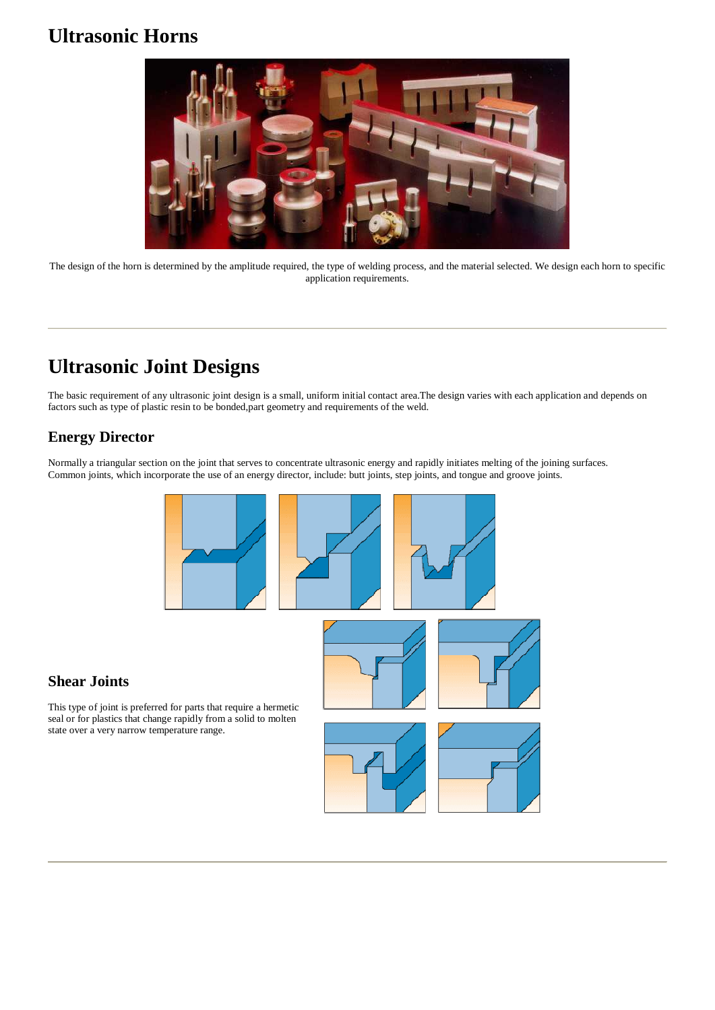## **Ultrasonic Horns**



The design of the horn is determined by the amplitude required, the type of welding process, and the material selected. We design each horn to specific application requirements.

# **Ultrasonic Joint Designs**

The basic requirement of any ultrasonic joint design is a small, uniform initial contact area.The design varies with each application and depends on factors such as type of plastic resin to be bonded,part geometry and requirements of the weld.

#### **Energy Director**

Normally a triangular section on the joint that serves to concentrate ultrasonic energy and rapidly initiates melting of the joining surfaces. Common joints, which incorporate the use of an energy director, include: butt joints, step joints, and tongue and groove joints.



#### **Shear Joints**

This type of joint is preferred for parts that require a hermetic seal or for plastics that change rapidly from a solid to molten state over a very narrow temperature range.